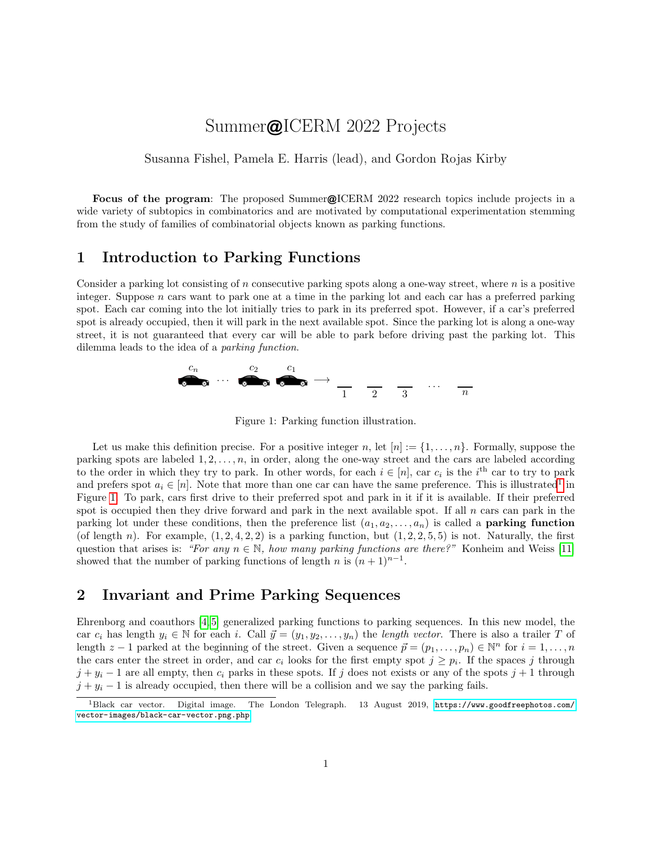# Summer@ICERM 2022 Projects

Susanna Fishel, Pamela E. Harris (lead), and Gordon Rojas Kirby

Focus of the program: The proposed Summer@ICERM 2022 research topics include projects in a wide variety of subtopics in combinatorics and are motivated by computational experimentation stemming from the study of families of combinatorial objects known as parking functions.

#### 1 Introduction to Parking Functions

Consider a parking lot consisting of n consecutive parking spots along a one-way street, where  $n$  is a positive integer. Suppose  $n$  cars want to park one at a time in the parking lot and each car has a preferred parking spot. Each car coming into the lot initially tries to park in its preferred spot. However, if a car's preferred spot is already occupied, then it will park in the next available spot. Since the parking lot is along a one-way street, it is not guaranteed that every car will be able to park before driving past the parking lot. This dilemma leads to the idea of a parking function.



<span id="page-0-1"></span>Figure 1: Parking function illustration.

Let us make this definition precise. For a positive integer n, let  $[n] := \{1, \ldots, n\}$ . Formally, suppose the parking spots are labeled  $1, 2, \ldots, n$ , in order, along the one-way street and the cars are labeled according to the order in which they try to park. In other words, for each  $i \in [n]$ , car  $c_i$  is the i<sup>th</sup> car to try to park and prefers spot  $a_i \in [n]$ . Note that more than one car can have the same preference. This is illustrated<sup>[1](#page-0-0)</sup> in Figure [1.](#page-0-1) To park, cars first drive to their preferred spot and park in it if it is available. If their preferred spot is occupied then they drive forward and park in the next available spot. If all  $n$  cars can park in the parking lot under these conditions, then the preference list  $(a_1, a_2, \ldots, a_n)$  is called a **parking function** (of length n). For example,  $(1, 2, 4, 2, 2)$  is a parking function, but  $(1, 2, 2, 5, 5)$  is not. Naturally, the first question that arises is: "For any  $n \in \mathbb{N}$ , how many parking functions are there?" Konheim and Weiss [\[11\]](#page-5-0) showed that the number of parking functions of length n is  $(n+1)^{n-1}$ .

## 2 Invariant and Prime Parking Sequences

Ehrenborg and coauthors [\[4,](#page-4-0) [5\]](#page-4-1) generalized parking functions to parking sequences. In this new model, the car  $c_i$  has length  $y_i \in \mathbb{N}$  for each i. Call  $\vec{y} = (y_1, y_2, \ldots, y_n)$  the length vector. There is also a trailer T of length  $z - 1$  parked at the beginning of the street. Given a sequence  $\vec{p} = (p_1, \ldots, p_n) \in \mathbb{N}^n$  for  $i = 1, \ldots, n$ the cars enter the street in order, and car  $c_i$  looks for the first empty spot  $j \geq p_i$ . If the spaces j through  $j + y_i - 1$  are all empty, then  $c_i$  parks in these spots. If j does not exists or any of the spots  $j + 1$  through  $j + y_i - 1$  is already occupied, then there will be a collision and we say the parking fails.

<span id="page-0-0"></span><sup>1</sup>Black car vector. Digital image. The London Telegraph. 13 August 2019, [https://www.goodfreephotos.com/](https://www.goodfreephotos.com/vector-images/black-car-vector.png.php) [vector-images/black-car-vector.png.php](https://www.goodfreephotos.com/vector-images/black-car-vector.png.php).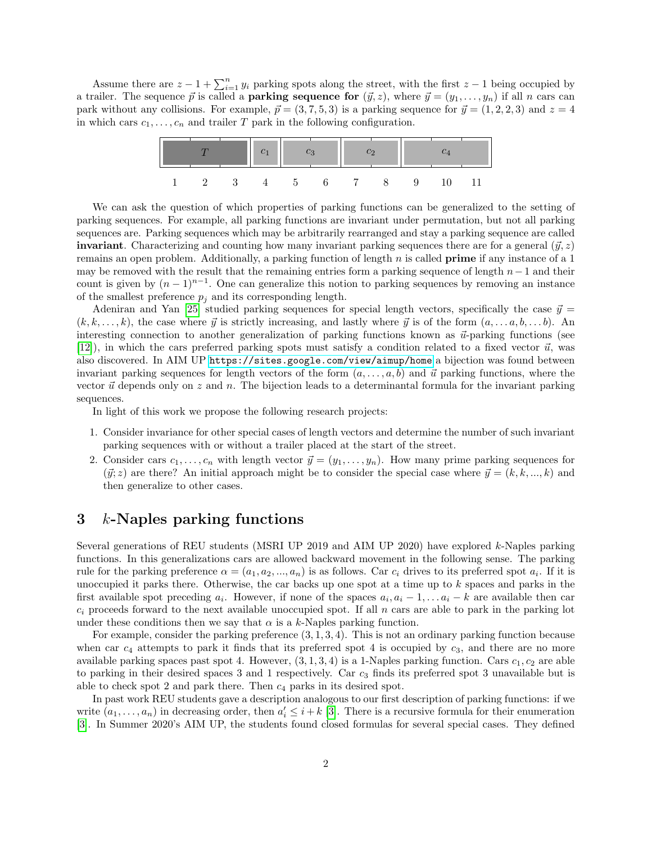Assume there are  $z - 1 + \sum_{i=1}^{n} y_i$  parking spots along the street, with the first  $z - 1$  being occupied by a trailer. The sequence  $\vec{p}$  is called a **parking sequence for**  $(\vec{y}, z)$ , where  $\vec{y} = (y_1, \ldots, y_n)$  if all n cars can park without any collisions. For example,  $\vec{p} = (3, 7, 5, 3)$  is a parking sequence for  $\vec{y} = (1, 2, 2, 3)$  and  $z = 4$ in which cars  $c_1, \ldots, c_n$  and trailer T park in the following configuration.



We can ask the question of which properties of parking functions can be generalized to the setting of parking sequences. For example, all parking functions are invariant under permutation, but not all parking sequences are. Parking sequences which may be arbitrarily rearranged and stay a parking sequence are called **invariant**. Characterizing and counting how many invariant parking sequences there are for a general  $(\vec{y}, z)$ remains an open problem. Additionally, a parking function of length  $n$  is called **prime** if any instance of a 1 may be removed with the result that the remaining entries form a parking sequence of length  $n-1$  and their count is given by  $(n-1)^{n-1}$ . One can generalize this notion to parking sequences by removing an instance of the smallest preference  $p_i$  and its corresponding length.

Adeniran and Yan [\[25\]](#page-5-1) studied parking sequences for special length vectors, specifically the case  $\vec{y}$  =  $(k, k, \ldots, k)$ , the case where  $\vec{y}$  is strictly increasing, and lastly where  $\vec{y}$  is of the form  $(a, \ldots, a, b, \ldots, b)$ . An interesting connection to another generalization of parking functions known as  $\vec{u}$ -parking functions (see [\[12\]](#page-5-2)), in which the cars preferred parking spots must satisfy a condition related to a fixed vector  $\vec{u}$ , was also discovered. In AIM UP <https://sites.google.com/view/aimup/home> a bijection was found between invariant parking sequences for length vectors of the form  $(a, \ldots, a, b)$  and  $\vec{u}$  parking functions, where the vector  $\vec{u}$  depends only on z and n. The bijection leads to a determinantal formula for the invariant parking sequences.

In light of this work we propose the following research projects:

- 1. Consider invariance for other special cases of length vectors and determine the number of such invariant parking sequences with or without a trailer placed at the start of the street.
- 2. Consider cars  $c_1, \ldots, c_n$  with length vector  $\vec{y} = (y_1, \ldots, y_n)$ . How many prime parking sequences for  $(\vec{y}; z)$  are there? An initial approach might be to consider the special case where  $\vec{y} = (k, k, ..., k)$  and then generalize to other cases.

#### 3 k-Naples parking functions

Several generations of REU students (MSRI UP 2019 and AIM UP 2020) have explored k-Naples parking functions. In this generalizations cars are allowed backward movement in the following sense. The parking rule for the parking preference  $\alpha = (a_1, a_2, ..., a_n)$  is as follows. Car  $c_i$  drives to its preferred spot  $a_i$ . If it is unoccupied it parks there. Otherwise, the car backs up one spot at a time up to  $k$  spaces and parks in the first available spot preceding  $a_i$ . However, if none of the spaces  $a_i, a_i - 1, \ldots, a_i - k$  are available then car  $c_i$  proceeds forward to the next available unoccupied spot. If all n cars are able to park in the parking lot under these conditions then we say that  $\alpha$  is a k-Naples parking function.

For example, consider the parking preference  $(3, 1, 3, 4)$ . This is not an ordinary parking function because when car  $c_4$  attempts to park it finds that its preferred spot 4 is occupied by  $c_3$ , and there are no more available parking spaces past spot 4. However,  $(3, 1, 3, 4)$  is a 1-Naples parking function. Cars  $c_1, c_2$  are able to parking in their desired spaces 3 and 1 respectively. Car  $c_3$  finds its preferred spot 3 unavailable but is able to check spot 2 and park there. Then  $c_4$  parks in its desired spot.

In past work REU students gave a description analogous to our first description of parking functions: if we write  $(a_1, \ldots, a_n)$  in decreasing order, then  $a'_i \leq i + k$  [\[3\]](#page-4-2). There is a recursive formula for their enumeration [\[3\]](#page-4-2). In Summer 2020's AIM UP, the students found closed formulas for several special cases. They defined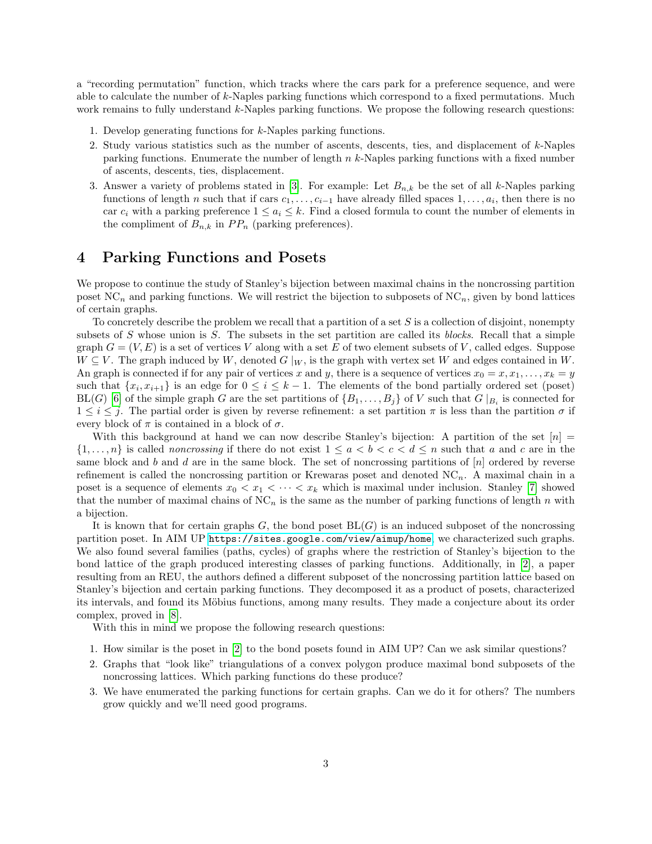a "recording permutation" function, which tracks where the cars park for a preference sequence, and were able to calculate the number of k-Naples parking functions which correspond to a fixed permutations. Much work remains to fully understand k-Naples parking functions. We propose the following research questions:

- 1. Develop generating functions for k-Naples parking functions.
- 2. Study various statistics such as the number of ascents, descents, ties, and displacement of  $k$ -Naples parking functions. Enumerate the number of length  $n \, k$ -Naples parking functions with a fixed number of ascents, descents, ties, displacement.
- 3. Answer a variety of problems stated in [\[3\]](#page-4-2). For example: Let  $B_{n,k}$  be the set of all k-Naples parking functions of length n such that if cars  $c_1, \ldots, c_{i-1}$  have already filled spaces  $1, \ldots, a_i$ , then there is no car  $c_i$  with a parking preference  $1 \leq a_i \leq k$ . Find a closed formula to count the number of elements in the compliment of  $B_{n,k}$  in  $PP_n$  (parking preferences).

# 4 Parking Functions and Posets

We propose to continue the study of Stanley's bijection between maximal chains in the noncrossing partition poset  $NC_n$  and parking functions. We will restrict the bijection to subposets of  $NC_n$ , given by bond lattices of certain graphs.

To concretely describe the problem we recall that a partition of a set  $S$  is a collection of disjoint, nonempty subsets of  $S$  whose union is  $S$ . The subsets in the set partition are called its blocks. Recall that a simple graph  $G = (V, E)$  is a set of vertices V along with a set E of two element subsets of V, called edges. Suppose  $W \subseteq V$ . The graph induced by W, denoted  $G|_W$ , is the graph with vertex set W and edges contained in W. An graph is connected if for any pair of vertices x and y, there is a sequence of vertices  $x_0 = x, x_1, \ldots, x_k = y$ such that  $\{x_i, x_{i+1}\}\$ is an edge for  $0 \le i \le k-1$ . The elements of the bond partially ordered set (poset)  $BL(G)$  [\[6\]](#page-4-3) of the simple graph G are the set partitions of  $\{B_1, \ldots, B_j\}$  of V such that  $G|_{B_i}$  is connected for  $1 \leq i \leq j$ . The partial order is given by reverse refinement: a set partition  $\pi$  is less than the partition  $\sigma$  if every block of  $\pi$  is contained in a block of  $\sigma$ .

With this background at hand we can now describe Stanley's bijection: A partition of the set  $[n]$  $\{1,\ldots,n\}$  is called *noncrossing* if there do not exist  $1 \leq a < b < c < d \leq n$  such that a and c are in the same block and b and d are in the same block. The set of noncrossing partitions of  $[n]$  ordered by reverse refinement is called the noncrossing partition or Krewaras poset and denoted  $NC_n$ . A maximal chain in a poset is a sequence of elements  $x_0 < x_1 < \cdots < x_k$  which is maximal under inclusion. Stanley [\[7\]](#page-4-4) showed that the number of maximal chains of  $NC_n$  is the same as the number of parking functions of length n with a bijection.

It is known that for certain graphs  $G$ , the bond poset  $BL(G)$  is an induced subposet of the noncrossing partition poset. In AIM UP <https://sites.google.com/view/aimup/home>, we characterized such graphs. We also found several families (paths, cycles) of graphs where the restriction of Stanley's bijection to the bond lattice of the graph produced interesting classes of parking functions. Additionally, in [\[2\]](#page-4-5), a paper resulting from an REU, the authors defined a different subposet of the noncrossing partition lattice based on Stanley's bijection and certain parking functions. They decomposed it as a product of posets, characterized its intervals, and found its Möbius functions, among many results. They made a conjecture about its order complex, proved in [\[8\]](#page-5-3).

With this in mind we propose the following research questions:

- 1. How similar is the poset in [\[2\]](#page-4-5) to the bond posets found in AIM UP? Can we ask similar questions?
- 2. Graphs that "look like" triangulations of a convex polygon produce maximal bond subposets of the noncrossing lattices. Which parking functions do these produce?
- 3. We have enumerated the parking functions for certain graphs. Can we do it for others? The numbers grow quickly and we'll need good programs.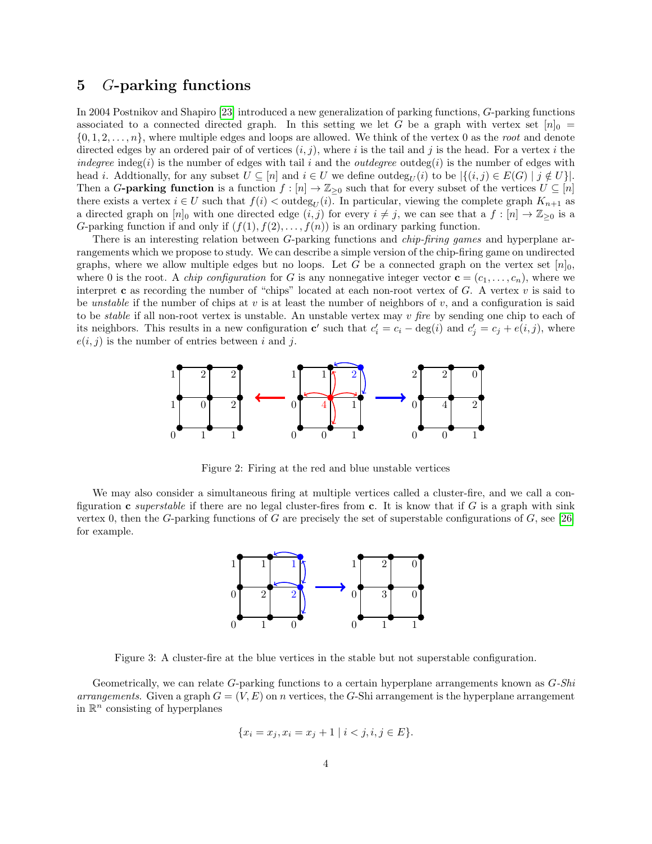# 5 G-parking functions

In 2004 Postnikov and Shapiro [\[23\]](#page-5-4) introduced a new generalization of parking functions, G-parking functions associated to a connected directed graph. In this setting we let G be a graph with vertex set  $[n]_0 =$  $\{0, 1, 2, \ldots, n\}$ , where multiple edges and loops are allowed. We think of the vertex 0 as the root and denote directed edges by an ordered pair of of vertices  $(i, j)$ , where i is the tail and j is the head. For a vertex i the indegree indeg(i) is the number of edges with tail i and the *outdegree* outdeg(i) is the number of edges with head *i*. Addtionally, for any subset  $U \subseteq [n]$  and  $i \in U$  we define outdeg<sub>U</sub>(i) to be  $|\{(i,j) \in E(G) | j \notin U\}|$ . Then a G-parking function is a function  $f : [n] \to \mathbb{Z}_{\geq 0}$  such that for every subset of the vertices  $U \subseteq [n]$ there exists a vertex  $i \in U$  such that  $f(i) < \text{outdeg}_U(i)$ . In particular, viewing the complete graph  $K_{n+1}$  as a directed graph on  $[n]_0$  with one directed edge  $(i, j)$  for every  $i \neq j$ , we can see that a  $f : [n] \to \mathbb{Z}_{\geq 0}$  is a G-parking function if and only if  $(f(1), f(2), \ldots, f(n))$  is an ordinary parking function.

There is an interesting relation between G-parking functions and *chip-firing games* and hyperplane arrangements which we propose to study. We can describe a simple version of the chip-firing game on undirected graphs, where we allow multiple edges but no loops. Let G be a connected graph on the vertex set  $[n]_0$ , where 0 is the root. A *chip configuration* for G is any nonnegative integer vector  $\mathbf{c} = (c_1, \ldots, c_n)$ , where we interpret c as recording the number of "chips" located at each non-root vertex of  $G$ . A vertex  $v$  is said to be unstable if the number of chips at v is at least the number of neighbors of v, and a configuration is said to be stable if all non-root vertex is unstable. An unstable vertex may v fire by sending one chip to each of its neighbors. This results in a new configuration **c**' such that  $c_i' = c_i - \deg(i)$  and  $c_j' = c_j + e(i, j)$ , where  $e(i, j)$  is the number of entries between i and j.



Figure 2: Firing at the red and blue unstable vertices

We may also consider a simultaneous firing at multiple vertices called a cluster-fire, and we call a configuration c *superstable* if there are no legal cluster-fires from c. It is know that if G is a graph with sink vertex 0, then the G-parking functions of G are precisely the set of superstable configurations of  $G$ , see [\[26\]](#page-5-5) for example.



Figure 3: A cluster-fire at the blue vertices in the stable but not superstable configuration.

Geometrically, we can relate  $G$ -parking functions to a certain hyperplane arrangements known as  $G$ - $Shi$ arrangements. Given a graph  $G = (V, E)$  on n vertices, the G-Shi arrangement is the hyperplane arrangement in  $\mathbb{R}^n$  consisting of hyperplanes

$$
\{x_i = x_j, x_i = x_j + 1 \mid i < j, i, j \in E\}.
$$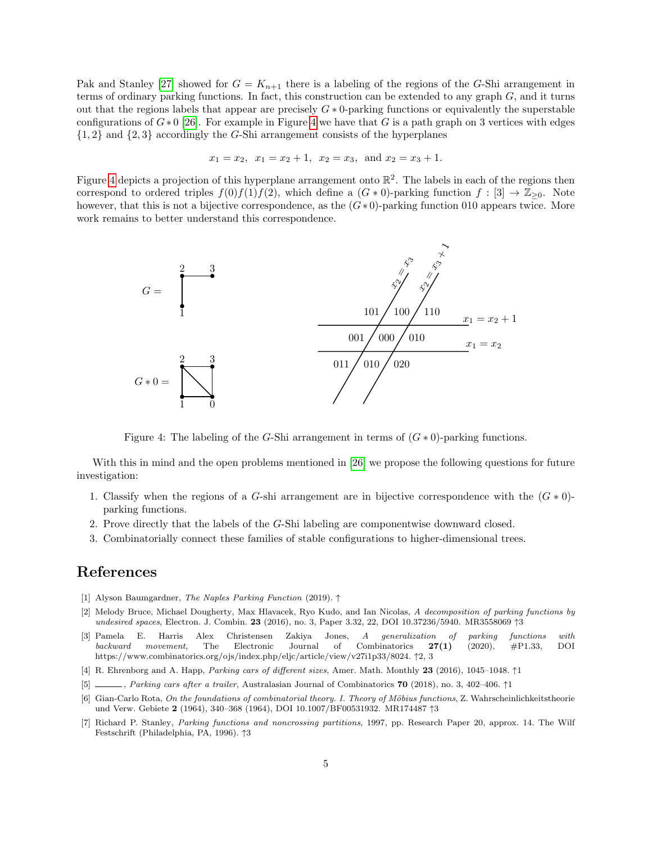Pak and Stanley [\[27\]](#page-5-6) showed for  $G = K_{n+1}$  there is a labeling of the regions of the G-Shi arrangement in terms of ordinary parking functions. In fact, this construction can be extended to any graph  $G$ , and it turns out that the regions labels that appear are precisely  $G * 0$ -parking functions or equivalently the superstable configurations of  $G*0$  [\[26\]](#page-5-5). For example in Figure [4](#page-4-6) we have that G is a path graph on 3 vertices with edges  ${1, 2}$  and  ${2, 3}$  accordingly the G-Shi arrangement consists of the hyperplanes

$$
x_1 = x_2
$$
,  $x_1 = x_2 + 1$ ,  $x_2 = x_3$ , and  $x_2 = x_3 + 1$ .

Figure [4](#page-4-6) depicts a projection of this hyperplane arrangement onto  $\mathbb{R}^2$ . The labels in each of the regions then correspond to ordered triples  $f(0)f(1)f(2)$ , which define a  $(G * 0)$ -parking function  $f : [3] \rightarrow \mathbb{Z}_{\geq 0}$ . Note however, that this is not a bijective correspondence, as the  $(G*0)$ -parking function 010 appears twice. More work remains to better understand this correspondence.



<span id="page-4-6"></span>Figure 4: The labeling of the G-Shi arrangement in terms of  $(G * 0)$ -parking functions.

With this in mind and the open problems mentioned in [\[26\]](#page-5-5) we propose the following questions for future investigation:

- 1. Classify when the regions of a G-shi arrangement are in bijective correspondence with the  $(G * 0)$ parking functions.
- 2. Prove directly that the labels of the G-Shi labeling are componentwise downward closed.
- 3. Combinatorially connect these families of stable configurations to higher-dimensional trees.

# References

- [1] Alyson Baumgardner, The Naples Parking Function (2019). ↑
- <span id="page-4-5"></span>[2] Melody Bruce, Michael Dougherty, Max Hlavacek, Ryo Kudo, and Ian Nicolas, A decomposition of parking functions by undesired spaces, Electron. J. Combin. 23 (2016), no. 3, Paper 3.32, 22, DOI 10.37236/5940. MR3558069 ↑3
- <span id="page-4-2"></span>[3] Pamela E. Harris Alex Christensen Zakiya Jones, A generalization of parking functions with backward movement, The Electronic Journal of Combinatorics  $27(1)$  (2020), #P1.33, DOI https://www.combinatorics.org/ojs/index.php/eljc/article/view/v27i1p33/8024. ↑2, 3
- <span id="page-4-0"></span>[4] R. Ehrenborg and A. Happ, Parking cars of different sizes, Amer. Math. Monthly 23 (2016), 1045–1048. ↑1
- <span id="page-4-1"></span>[5] , Parking cars after a trailer, Australasian Journal of Combinatorics 70 (2018), no. 3, 402–406. ↑1
- <span id="page-4-3"></span>[6] Gian-Carlo Rota, On the foundations of combinatorial theory. I. Theory of Möbius functions, Z. Wahrscheinlichkeitstheorie und Verw. Gebiete 2 (1964), 340–368 (1964), DOI 10.1007/BF00531932. MR174487 ↑3
- <span id="page-4-4"></span>[7] Richard P. Stanley, Parking functions and noncrossing partitions, 1997, pp. Research Paper 20, approx. 14. The Wilf Festschrift (Philadelphia, PA, 1996). ↑3